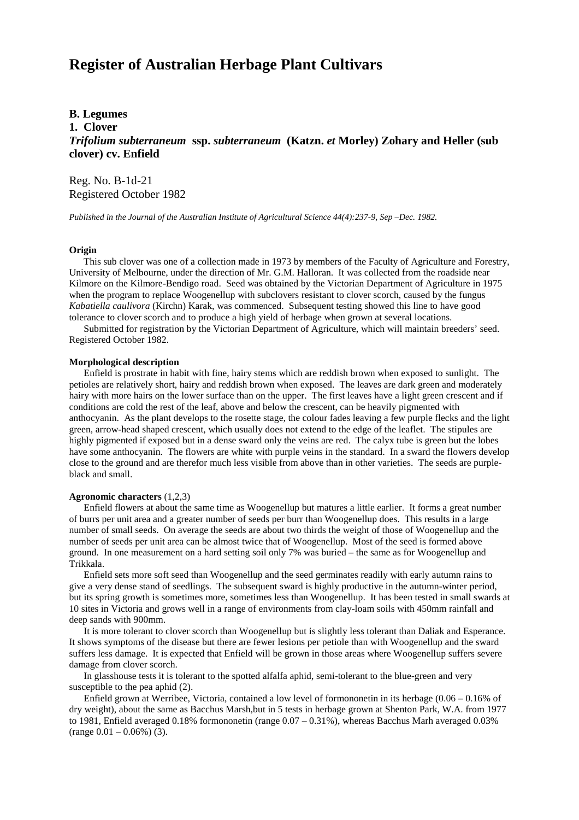# **Register of Australian Herbage Plant Cultivars**

## **B. Legumes**

**1. Clover**

*Trifolium subterraneum* **ssp.** *subterraneum* **(Katzn.** *et* **Morley) Zohary and Heller (sub clover) cv. Enfield**

Reg. No. B-1d-21 Registered October 1982

*Published in the Journal of the Australian Institute of Agricultural Science 44(4):237-9, Sep –Dec. 1982.*

### **Origin**

 This sub clover was one of a collection made in 1973 by members of the Faculty of Agriculture and Forestry, University of Melbourne, under the direction of Mr. G.M. Halloran. It was collected from the roadside near Kilmore on the Kilmore-Bendigo road. Seed was obtained by the Victorian Department of Agriculture in 1975 when the program to replace Woogenellup with subclovers resistant to clover scorch, caused by the fungus *Kabatiella caulivora* (Kirchn) Karak, was commenced. Subsequent testing showed this line to have good tolerance to clover scorch and to produce a high yield of herbage when grown at several locations.

 Submitted for registration by the Victorian Department of Agriculture, which will maintain breeders' seed. Registered October 1982.

#### **Morphological description**

 Enfield is prostrate in habit with fine, hairy stems which are reddish brown when exposed to sunlight. The petioles are relatively short, hairy and reddish brown when exposed. The leaves are dark green and moderately hairy with more hairs on the lower surface than on the upper. The first leaves have a light green crescent and if conditions are cold the rest of the leaf, above and below the crescent, can be heavily pigmented with anthocyanin. As the plant develops to the rosette stage, the colour fades leaving a few purple flecks and the light green, arrow-head shaped crescent, which usually does not extend to the edge of the leaflet. The stipules are highly pigmented if exposed but in a dense sward only the veins are red. The calyx tube is green but the lobes have some anthocyanin. The flowers are white with purple veins in the standard. In a sward the flowers develop close to the ground and are therefor much less visible from above than in other varieties. The seeds are purpleblack and small.

#### **Agronomic characters** (1,2,3)

 Enfield flowers at about the same time as Woogenellup but matures a little earlier. It forms a great number of burrs per unit area and a greater number of seeds per burr than Woogenellup does. This results in a large number of small seeds. On average the seeds are about two thirds the weight of those of Woogenellup and the number of seeds per unit area can be almost twice that of Woogenellup. Most of the seed is formed above ground. In one measurement on a hard setting soil only 7% was buried – the same as for Woogenellup and Trikkala.

 Enfield sets more soft seed than Woogenellup and the seed germinates readily with early autumn rains to give a very dense stand of seedlings. The subsequent sward is highly productive in the autumn-winter period, but its spring growth is sometimes more, sometimes less than Woogenellup. It has been tested in small swards at 10 sites in Victoria and grows well in a range of environments from clay-loam soils with 450mm rainfall and deep sands with 900mm.

 It is more tolerant to clover scorch than Woogenellup but is slightly less tolerant than Daliak and Esperance. It shows symptoms of the disease but there are fewer lesions per petiole than with Woogenellup and the sward suffers less damage. It is expected that Enfield will be grown in those areas where Woogenellup suffers severe damage from clover scorch.

 In glasshouse tests it is tolerant to the spotted alfalfa aphid, semi-tolerant to the blue-green and very susceptible to the pea aphid (2).

 Enfield grown at Werribee, Victoria, contained a low level of formononetin in its herbage (0.06 – 0.16% of dry weight), about the same as Bacchus Marsh,but in 5 tests in herbage grown at Shenton Park, W.A. from 1977 to 1981, Enfield averaged 0.18% formononetin (range 0.07 – 0.31%), whereas Bacchus Marh averaged 0.03%  $(\text{range } 0.01 - 0.06\%)$  (3).